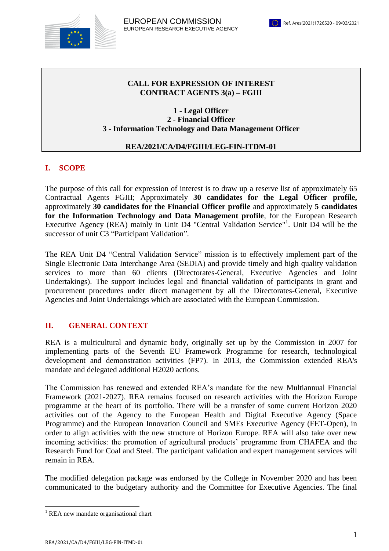

### **CALL FOR EXPRESSION OF INTEREST CONTRACT AGENTS 3(a) – FGIII**

**1 - Legal Officer 2 - Financial Officer 3 - Information Technology and Data Management Officer**

### **REA/2021/CA/D4/FGIII/LEG-FIN-ITDM-01**

# **I. SCOPE**

The purpose of this call for expression of interest is to draw up a reserve list of approximately 65 Contractual Agents FGIII; Approximately **30 candidates for the Legal Officer profile,**  approximately **30 candidates for the Financial Officer profile** and approximately **5 candidates for the Information Technology and Data Management profile**, for the European Research Executive Agency (REA) mainly in Unit D4 "Central Validation Service"<sup>1</sup>. Unit D4 will be the successor of unit C3 "Participant Validation".

The REA Unit D4 "Central Validation Service" mission is to effectively implement part of the Single Electronic Data Interchange Area (SEDIA) and provide timely and high quality validation services to more than 60 clients (Directorates-General, Executive Agencies and Joint Undertakings). The support includes legal and financial validation of participants in grant and procurement procedures under direct management by all the Directorates-General, Executive Agencies and Joint Undertakings which are associated with the European Commission.

### **II. GENERAL CONTEXT**

REA is a multicultural and dynamic body, originally set up by the Commission in 2007 for implementing parts of the Seventh EU Framework Programme for research, technological development and demonstration activities (FP7). In 2013, the Commission extended REA's mandate and delegated additional H2020 actions.

The Commission has renewed and extended REA's mandate for the new Multiannual Financial Framework (2021-2027). REA remains focused on research activities with the Horizon Europe programme at the heart of its portfolio. There will be a transfer of some current Horizon 2020 activities out of the Agency to the European Health and Digital Executive Agency (Space Programme) and the European Innovation Council and SMEs Executive Agency (FET-Open), in order to align activities with the new structure of Horizon Europe. REA will also take over new incoming activities: the promotion of agricultural products' programme from CHAFEA and the Research Fund for Coal and Steel. The participant validation and expert management services will remain in REA.

The modified delegation package was endorsed by the College in November 2020 and has been communicated to the budgetary authority and the Committee for Executive Agencies. The final

<sup>&</sup>lt;sup>1</sup> REA new mandate organisational chart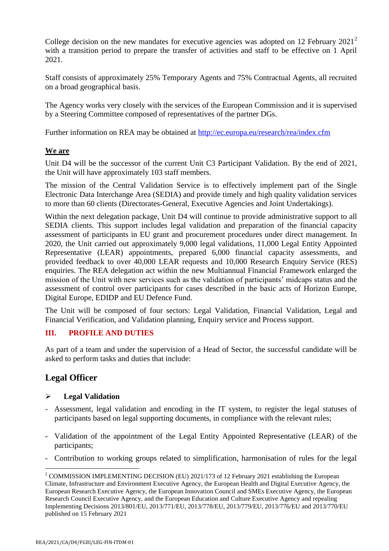College decision on the new mandates for executive agencies was adopted on 12 February  $2021^2$ with a transition period to prepare the transfer of activities and staff to be effective on 1 April 2021.

Staff consists of approximately 25% Temporary Agents and 75% Contractual Agents, all recruited on a broad geographical basis.

The Agency works very closely with the services of the European Commission and it is supervised by a Steering Committee composed of representatives of the partner DGs.

Further information on REA may be obtained at<http://ec.europa.eu/research/rea/index.cfm>

### **We are**

Unit D4 will be the successor of the current Unit C3 Participant Validation. By the end of 2021, the Unit will have approximately 103 staff members.

The mission of the Central Validation Service is to effectively implement part of the Single Electronic Data Interchange Area (SEDIA) and provide timely and high quality validation services to more than 60 clients (Directorates-General, Executive Agencies and Joint Undertakings).

Within the next delegation package, Unit D4 will continue to provide administrative support to all SEDIA clients. This support includes legal validation and preparation of the financial capacity assessment of participants in EU grant and procurement procedures under direct management. In 2020, the Unit carried out approximately 9,000 legal validations, 11,000 Legal Entity Appointed Representative (LEAR) appointments, prepared 6,000 financial capacity assessments, and provided feedback to over 40,000 LEAR requests and 10,000 Research Enquiry Service (RES) enquiries. The REA delegation act within the new Multiannual Financial Framework enlarged the mission of the Unit with new services such as the validation of participants' midcaps status and the assessment of control over participants for cases described in the basic acts of Horizon Europe, Digital Europe, EDIDP and EU Defence Fund.

The Unit will be composed of four sectors: Legal Validation, Financial Validation, Legal and Financial Verification, and Validation planning, Enquiry service and Process support.

### **III. PROFILE AND DUTIES**

As part of a team and under the supervision of a Head of Sector, the successful candidate will be asked to perform tasks and duties that include:

# **Legal Officer**

### **Legal Validation**

- Assessment, legal validation and encoding in the IT system, to register the legal statuses of participants based on legal supporting documents, in compliance with the relevant rules;
- Validation of the appointment of the Legal Entity Appointed Representative (LEAR) of the participants;
- Contribution to working groups related to simplification, harmonisation of rules for the legal

 $\overline{a}$ <sup>2</sup> COMMISSION IMPLEMENTING DECISION (EU) 2021/173 of 12 February 2021 establishing the European Climate, Infrastructure and Environment Executive Agency, the European Health and Digital Executive Agency, the European Research Executive Agency, the European Innovation Council and SMEs Executive Agency, the European Research Council Executive Agency, and the European Education and Culture Executive Agency and repealing Implementing Decisions 2013/801/EU, 2013/771/EU, 2013/778/EU, 2013/779/EU, 2013/776/EU and 2013/770/EU published on 15 February 2021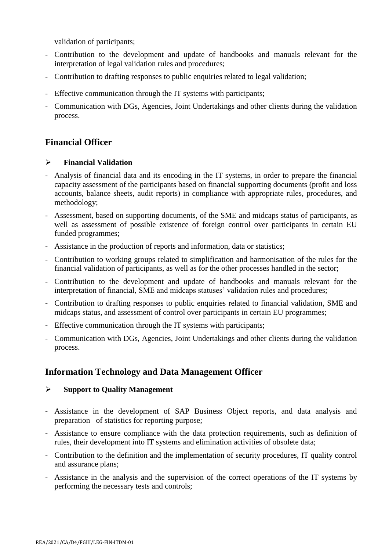validation of participants;

- Contribution to the development and update of handbooks and manuals relevant for the interpretation of legal validation rules and procedures;
- Contribution to drafting responses to public enquiries related to legal validation;
- Effective communication through the IT systems with participants;
- Communication with DGs, Agencies, Joint Undertakings and other clients during the validation process.

# **Financial Officer**

### **Financial Validation**

- Analysis of financial data and its encoding in the IT systems, in order to prepare the financial capacity assessment of the participants based on financial supporting documents (profit and loss accounts, balance sheets, audit reports) in compliance with appropriate rules, procedures, and methodology;
- Assessment, based on supporting documents, of the SME and midcaps status of participants, as well as assessment of possible existence of foreign control over participants in certain EU funded programmes;
- Assistance in the production of reports and information, data or statistics;
- Contribution to working groups related to simplification and harmonisation of the rules for the financial validation of participants, as well as for the other processes handled in the sector;
- Contribution to the development and update of handbooks and manuals relevant for the interpretation of financial, SME and midcaps statuses' validation rules and procedures;
- Contribution to drafting responses to public enquiries related to financial validation, SME and midcaps status, and assessment of control over participants in certain EU programmes;
- Effective communication through the IT systems with participants;
- Communication with DGs, Agencies, Joint Undertakings and other clients during the validation process.

# **Information Technology and Data Management Officer**

### **Support to Quality Management**

- Assistance in the development of SAP Business Object reports, and data analysis and preparation of statistics for reporting purpose;
- Assistance to ensure compliance with the data protection requirements, such as definition of rules, their development into IT systems and elimination activities of obsolete data;
- Contribution to the definition and the implementation of security procedures, IT quality control and assurance plans;
- Assistance in the analysis and the supervision of the correct operations of the IT systems by performing the necessary tests and controls;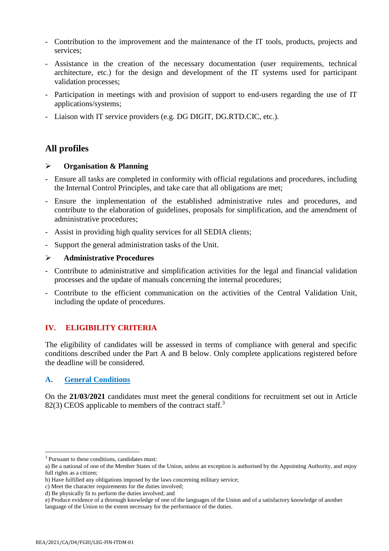- Contribution to the improvement and the maintenance of the IT tools, products, projects and services;
- Assistance in the creation of the necessary documentation (user requirements, technical architecture, etc.) for the design and development of the IT systems used for participant validation processes;
- Participation in meetings with and provision of support to end-users regarding the use of IT applications/systems;
- Liaison with IT service providers (e.g. DG DIGIT, DG.RTD.CIC, etc.).

# **All profiles**

#### **Organisation & Planning**

- Ensure all tasks are completed in conformity with official regulations and procedures, including the Internal Control Principles, and take care that all obligations are met;
- Ensure the implementation of the established administrative rules and procedures, and contribute to the elaboration of guidelines, proposals for simplification, and the amendment of administrative procedures;
- Assist in providing high quality services for all SEDIA clients;
- Support the general administration tasks of the Unit.

#### **Administrative Procedures**

- Contribute to administrative and simplification activities for the legal and financial validation processes and the update of manuals concerning the internal procedures;
- Contribute to the efficient communication on the activities of the Central Validation Unit, including the update of procedures.

### **IV. ELIGIBILITY CRITERIA**

The eligibility of candidates will be assessed in terms of compliance with general and specific conditions described under the Part A and B below. Only complete applications registered before the deadline will be considered.

#### **A. General Conditions**

On the **21/03/2021** candidates must meet the general conditions for recruitment set out in Article 82(3) CEOS applicable to members of the contract staff.<sup>3</sup>

<sup>&</sup>lt;sup>3</sup> Pursuant to these conditions, candidates must:

a) Be a national of one of the Member States of the Union, unless an exception is authorised by the Appointing Authority, and enjoy full rights as a citizen;

b) Have fulfilled any obligations imposed by the laws concerning military service;

c) Meet the character requirements for the duties involved;

d) Be physically fit to perform the duties involved; and

e) Produce evidence of a thorough knowledge of one of the languages of the Union and of a satisfactory knowledge of another language of the Union to the extent necessary for the performance of the duties.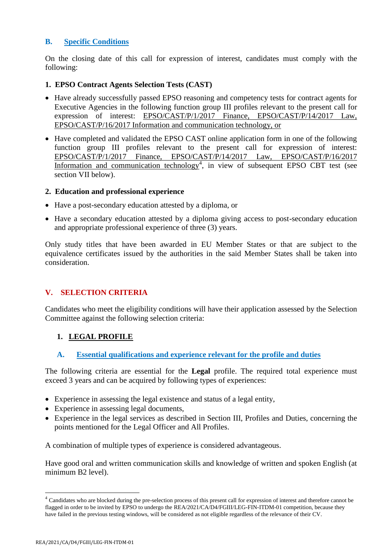#### **B. Specific Conditions**

On the closing date of this call for expression of interest, candidates must comply with the following:

#### **1. EPSO Contract Agents Selection Tests (CAST)**

- Have already successfully passed EPSO reasoning and competency tests for contract agents for Executive Agencies in the following function group III profiles relevant to the present call for expression of interest: [EPSO/CAST/P/1/2017 Finance, EPSO/CAST/P/14/2017 Law,](https://epso.europa.eu/documents/call-expressions-interest-0_en) [EPSO/CAST/P/16/2017 Information](https://epso.europa.eu/documents/call-expressions-interest-0_en) and communication technology, or
- Have completed and validated the EPSO CAST online application form in one of the following function group III profiles relevant to the present call for expression of interest: [EPSO/CAST/P/1/2017 Finance, EPSO/CAST/P/14/2017](https://epso.europa.eu/documents/call-expressions-interest-0_en) Law, EPSO/CAST/P/16/2017 [Information and communication technology](https://epso.europa.eu/documents/call-expressions-interest-0_en)<sup>4</sup>, in view of subsequent EPSO CBT test (see section VII below).

#### **2. Education and professional experience**

- Have a post-secondary education attested by a diploma, or
- Have a secondary education attested by a diploma giving access to post-secondary education and appropriate professional experience of three (3) years.

Only study titles that have been awarded in EU Member States or that are subject to the equivalence certificates issued by the authorities in the said Member States shall be taken into consideration.

### **V. SELECTION CRITERIA**

Candidates who meet the eligibility conditions will have their application assessed by the Selection Committee against the following selection criteria:

### **1. LEGAL PROFILE**

**A. Essential qualifications and experience relevant for the profile and duties**

The following criteria are essential for the **Legal** profile. The required total experience must exceed 3 years and can be acquired by following types of experiences:

- Experience in assessing the legal existence and status of a legal entity,
- Experience in assessing legal documents,
- Experience in the legal services as described in Section III, Profiles and Duties, concerning the points mentioned for the Legal Officer and All Profiles.

A combination of multiple types of experience is considered advantageous.

Have good oral and written communication skills and knowledge of written and spoken English (at minimum B2 level).

<sup>&</sup>lt;sup>4</sup> Candidates who are blocked during the pre-selection process of this present call for expression of interest and therefore cannot be flagged in order to be invited by EPSO to undergo the REA/2021/CA/D4/FGIII/LEG-FIN-ITDM-01 competition, because they have failed in the previous testing windows, will be considered as not eligible regardless of the relevance of their CV.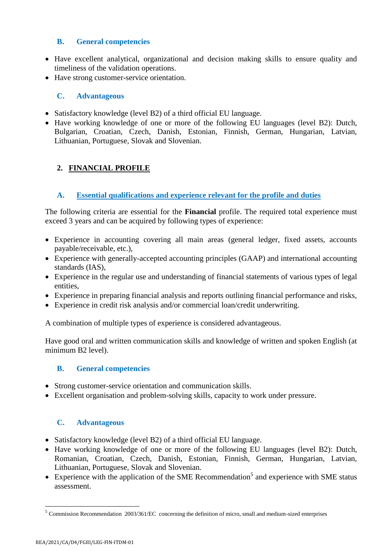### **B. General competencies**

- Have excellent analytical, organizational and decision making skills to ensure quality and timeliness of the validation operations.
- Have strong customer-service orientation.

### **C. Advantageous**

- Satisfactory knowledge (level B2) of a third official EU language.
- Have working knowledge of one or more of the following EU languages (level B2): Dutch, Bulgarian, Croatian, Czech, Danish, Estonian, Finnish, German, Hungarian, Latvian, Lithuanian, Portuguese, Slovak and Slovenian.

# **2. FINANCIAL PROFILE**

### **A. Essential qualifications and experience relevant for the profile and duties**

The following criteria are essential for the **Financial** profile. The required total experience must exceed 3 years and can be acquired by following types of experience:

- Experience in accounting covering all main areas (general ledger, fixed assets, accounts payable/receivable, etc.),
- Experience with generally-accepted accounting principles (GAAP) and international accounting standards (IAS),
- Experience in the regular use and understanding of financial statements of various types of legal entities,
- Experience in preparing financial analysis and reports outlining financial performance and risks,
- Experience in credit risk analysis and/or commercial loan/credit underwriting.

A combination of multiple types of experience is considered advantageous.

Have good oral and written communication skills and knowledge of written and spoken English (at minimum B2 level).

### **B. General competencies**

- Strong customer-service orientation and communication skills.
- Excellent organisation and problem-solving skills, capacity to work under pressure.

### **C. Advantageous**

- Satisfactory knowledge (level B2) of a third official EU language.
- Have working knowledge of one or more of the following EU languages (level B2): Dutch, Romanian, Croatian, Czech, Danish, Estonian, Finnish, German, Hungarian, Latvian, Lithuanian, Portuguese, Slovak and Slovenian.
- Experience with the application of the SME Recommendation<sup>5</sup> and experience with SME status assessment.

<sup>&</sup>lt;sup>5</sup> Commission Recommendation 2003/361/EC concerning the definition of micro, small and medium-sized enterprises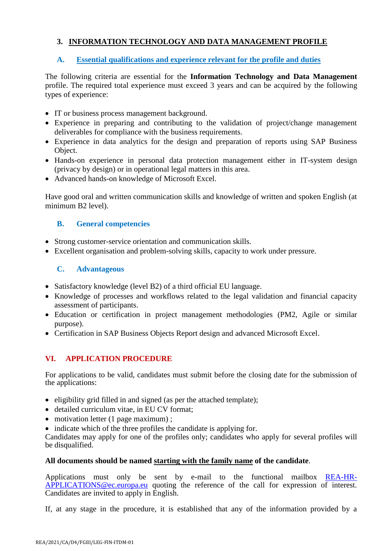# **3. INFORMATION TECHNOLOGY AND DATA MANAGEMENT PROFILE**

### **A. Essential qualifications and experience relevant for the profile and duties**

The following criteria are essential for the **Information Technology and Data Management**  profile. The required total experience must exceed 3 years and can be acquired by the following types of experience:

- IT or business process management background.
- Experience in preparing and contributing to the validation of project/change management deliverables for compliance with the business requirements.
- Experience in data analytics for the design and preparation of reports using SAP Business Object.
- Hands-on experience in personal data protection management either in IT-system design (privacy by design) or in operational legal matters in this area.
- Advanced hands-on knowledge of Microsoft Excel.

Have good oral and written communication skills and knowledge of written and spoken English (at minimum B2 level).

### **B. General competencies**

- Strong customer-service orientation and communication skills.
- Excellent organisation and problem-solving skills, capacity to work under pressure.

### **C. Advantageous**

- Satisfactory knowledge (level B2) of a third official EU language.
- Knowledge of processes and workflows related to the legal validation and financial capacity assessment of participants.
- Education or certification in project management methodologies (PM2, Agile or similar purpose).
- Certification in SAP Business Objects Report design and advanced Microsoft Excel.

### **VI. APPLICATION PROCEDURE**

For applications to be valid, candidates must submit before the closing date for the submission of the applications:

- $\bullet$  eligibility grid filled in and signed (as per the attached template);
- detailed curriculum vitae, in EU CV format;
- motivation letter (1 page maximum) ;
- indicate which of the three profiles the candidate is applying for.

Candidates may apply for one of the profiles only; candidates who apply for several profiles will be disqualified.

### **All documents should be named starting with the family name of the candidate**.

Applications must only be sent by e-mail to the functional mailbox [REA-HR-](mailto:REA-HR-APPLICATIONS@ec.europa.eu)[APPLICATIONS@ec.europa.eu](mailto:REA-HR-APPLICATIONS@ec.europa.eu) quoting the reference of the call for expression of interest. Candidates are invited to apply in English.

If, at any stage in the procedure, it is established that any of the information provided by a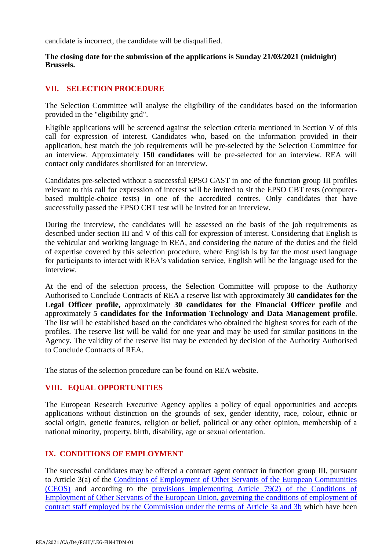candidate is incorrect, the candidate will be disqualified.

#### **The closing date for the submission of the applications is Sunday 21/03/2021 (midnight) Brussels.**

#### **VII. SELECTION PROCEDURE**

The Selection Committee will analyse the eligibility of the candidates based on the information provided in the "eligibility grid".

Eligible applications will be screened against the selection criteria mentioned in Section V of this call for expression of interest. Candidates who, based on the information provided in their application, best match the job requirements will be pre-selected by the Selection Committee for an interview. Approximately **150 candidates** will be pre-selected for an interview. REA will contact only candidates shortlisted for an interview.

Candidates pre-selected without a successful EPSO CAST in one of the function group III profiles relevant to this call for expression of interest will be invited to sit the EPSO CBT tests (computerbased multiple-choice tests) in one of the accredited centres. Only candidates that have successfully passed the EPSO CBT test will be invited for an interview.

During the interview, the candidates will be assessed on the basis of the job requirements as described under section III and V of this call for expression of interest. Considering that English is the vehicular and working language in REA, and considering the nature of the duties and the field of expertise covered by this selection procedure, where English is by far the most used language for participants to interact with REA's validation service, English will be the language used for the interview.

At the end of the selection process, the Selection Committee will propose to the Authority Authorised to Conclude Contracts of REA a reserve list with approximately **30 candidates for the Legal Officer profile,** approximately **30 candidates for the Financial Officer profile** and approximately **5 candidates for the Information Technology and Data Management profile**. The list will be established based on the candidates who obtained the highest scores for each of the profiles. The reserve list will be valid for one year and may be used for similar positions in the Agency. The validity of the reserve list may be extended by decision of the Authority Authorised to Conclude Contracts of REA.

The status of the selection procedure can be found on REA website.

#### **VIII. EQUAL OPPORTUNITIES**

The European Research Executive Agency applies a policy of equal opportunities and accepts applications without distinction on the grounds of sex, gender identity, race, colour, ethnic or social origin, genetic features, religion or belief, political or any other opinion, membership of a national minority, property, birth, disability, age or sexual orientation.

### **IX. CONDITIONS OF EMPLOYMENT**

The successful candidates may be offered a contract agent contract in function group III, pursuant to Article 3(a) of the [Conditions of Employment of Other Servants of the European Communities](https://eur-lex.europa.eu/legal-content/EN/TXT/?uri=CELEX:01962R0031-20210101)  [\(CEOS\)](https://eur-lex.europa.eu/legal-content/EN/TXT/?uri=CELEX:01962R0031-20210101) and according to the [provisions implementing Article 79\(2\) of the Conditions of](https://ec.europa.eu/transparency/regdoc/rep/3/2017/EN/C-2017-6760-F1-EN-MAIN-PART-1.PDF)  [Employment of Other Servants of the European Union, governing the conditions of employment of](https://ec.europa.eu/transparency/regdoc/rep/3/2017/EN/C-2017-6760-F1-EN-MAIN-PART-1.PDF)  [contract staff employed by the Commission under the terms of Article 3a and 3b](https://ec.europa.eu/transparency/regdoc/rep/3/2017/EN/C-2017-6760-F1-EN-MAIN-PART-1.PDF) which have been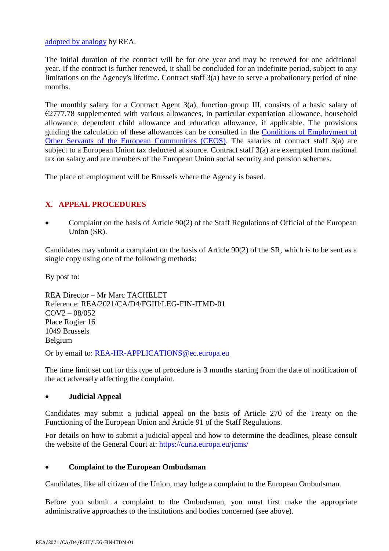[adopted by analogy](https://ec.europa.eu/info/sites/info/files/rea_stc_decision_adopting_by_analogy_the_com_decision_c20176760.pdf) by REA.

The initial duration of the contract will be for one year and may be renewed for one additional year. If the contract is further renewed, it shall be concluded for an indefinite period, subject to any limitations on the Agency's lifetime. Contract staff 3(a) have to serve a probationary period of nine months.

The monthly salary for a Contract Agent 3(a), function group III, consists of a basic salary of €2777,78 supplemented with various allowances, in particular expatriation allowance, household allowance, dependent child allowance and education allowance, if applicable. The provisions guiding the calculation of these allowances can be consulted in the [Conditions of Employment of](https://eur-lex.europa.eu/legal-content/EN/TXT/?uri=CELEX:01962R0031-20210101)  [Other Servants of the European Communities \(CEOS\).](https://eur-lex.europa.eu/legal-content/EN/TXT/?uri=CELEX:01962R0031-20210101) The salaries of contract staff 3(a) are subject to a European Union tax deducted at source. Contract staff 3(a) are exempted from national tax on salary and are members of the European Union social security and pension schemes.

The place of employment will be Brussels where the Agency is based.

### **X. APPEAL PROCEDURES**

 Complaint on the basis of Article 90(2) of the Staff Regulations of Official of the European Union (SR).

Candidates may submit a complaint on the basis of Article 90(2) of the SR, which is to be sent as a single copy using one of the following methods:

By post to:

REA Director – Mr Marc TACHELET Reference: REA/2021/CA/D4/FGIII/LEG-FIN-ITMD-01  $COV2 - 08/052$ Place Rogier 16 1049 Brussels Belgium

Or by email to: [REA-HR-APPLICATIONS@ec.europa.eu](mailto:REA-HR-APPLICATIONS@ec.europa.eu)

The time limit set out for this type of procedure is 3 months starting from the date of notification of the act adversely affecting the complaint.

### **Judicial Appeal**

Candidates may submit a judicial appeal on the basis of Article 270 of the Treaty on the Functioning of the European Union and Article 91 of the Staff Regulations.

For details on how to submit a judicial appeal and how to determine the deadlines, please consult the website of the General Court at:<https://curia.europa.eu/jcms/>

### **Complaint to the European Ombudsman**

Candidates, like all citizen of the Union, may lodge a complaint to the European Ombudsman.

Before you submit a complaint to the Ombudsman, you must first make the appropriate administrative approaches to the institutions and bodies concerned (see above).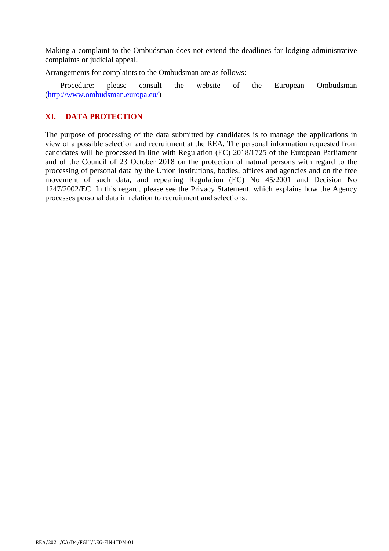Making a complaint to the Ombudsman does not extend the deadlines for lodging administrative complaints or judicial appeal.

Arrangements for complaints to the Ombudsman are as follows:

Procedure: please consult the website of the European Ombudsman [\(http://www.ombudsman.europa.eu/\)](http://www.ombudsman.europa.eu/)

### **XI. DATA PROTECTION**

The purpose of processing of the data submitted by candidates is to manage the applications in view of a possible selection and recruitment at the REA. The personal information requested from candidates will be processed in line with Regulation (EC) 2018/1725 of the European Parliament and of the Council of 23 October 2018 on the protection of natural persons with regard to the processing of personal data by the Union institutions, bodies, offices and agencies and on the free movement of such data, and repealing Regulation (EC) No 45/2001 and Decision No 1247/2002/EC. In this regard, please see the Privacy Statement, which explains how the Agency processes personal data in relation to recruitment and selections.